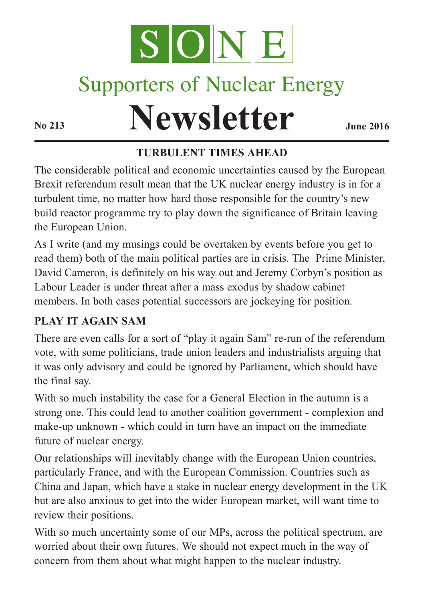

# Supporters of Nuclear Energy

# **Newsletter June** 2016

#### **TURBULENT TIMES AHEAD**

The considerable political and economic uncertainties caused by the European Brexit referendum result mean that the UK nuclear energy industry is in for a turbulent time, no matter how hard those responsible for the country's new build reactor programme try to play down the significance of Britain leaving the European Union.

As I write (and my musings could be overtaken by events before you get to read them) both of the main political parties are in crisis. The Prime Minister, David Cameron, is definitely on his way out and Jeremy Corbyn's position as Labour Leader is under threat after a mass exodus by shadow cabinet members. In both cases potential successors are jockeying for position.

#### **PLAY IT AGAIN SAM**

There are even calls for a sort of "play it again Sam" re-run of the referendum vote, with some politicians, trade union leaders and industrialists arguing that it was only advisory and could be ignored by Parliament, which should have the final say.

With so much instability the case for a General Election in the autumn is a strong one. This could lead to another coalition government - complexion and make-up unknown - which could in turn have an impact on the immediate future of nuclear energy.

Our relationships will inevitably change with the European Union countries, particularly France, and with the European Commission. Countries such as China and Japan, which have a stake in nuclear energy development in the UK but are also anxious to get into the wider European market, will want time to review their positions.

With so much uncertainty some of our MPs, across the political spectrum, are worried about their own futures. We should not expect much in the way of concern from them about what might happen to the nuclear industry.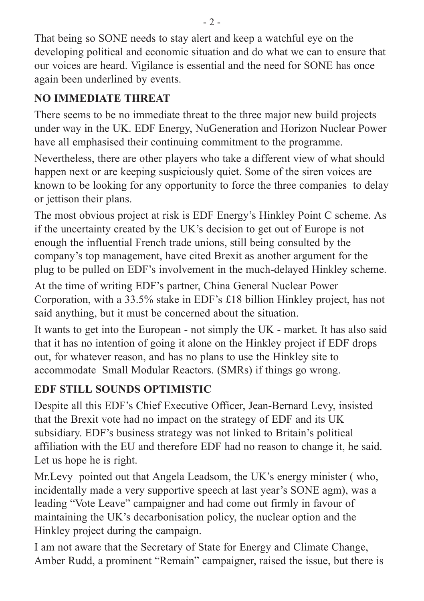That being so SONE needs to stay alert and keep a watchful eye on the developing political and economic situation and do what we can to ensure that our voices are heard. Vigilance is essential and the need for SONE has once again been underlined by events.

# **NO IMMEDIATE THREAT**

There seems to be no immediate threat to the three major new build projects under way in the UK. EDF Energy, NuGeneration and Horizon Nuclear Power have all emphasised their continuing commitment to the programme.

Nevertheless, there are other players who take a different view of what should happen next or are keeping suspiciously quiet. Some of the siren voices are known to be looking for any opportunity to force the three companies to delay or jettison their plans.

The most obvious project at risk is EDF Energy's Hinkley Point C scheme. As if the uncertainty created by the UK's decision to get out of Europe is not enough the influential French trade unions, still being consulted by the company's top management, have cited Brexit as another argument for the plug to be pulled on EDF's involvement in the much-delayed Hinkley scheme.

At the time of writing EDF's partner, China General Nuclear Power Corporation, with a 33.5% stake in EDF's £18 billion Hinkley project, has not said anything, but it must be concerned about the situation.

It wants to get into the European - not simply the UK - market. It has also said that it has no intention of going it alone on the Hinkley project if EDF drops out, for whatever reason, and has no plans to use the Hinkley site to accommodate Small Modular Reactors. (SMRs) if things go wrong.

# **EDF STILL SOUNDS OPTIMISTIC**

Despite all this EDF's Chief Executive Officer, Jean-Bernard Levy, insisted that the Brexit vote had no impact on the strategy of EDF and its UK subsidiary. EDF's business strategy was not linked to Britain's political affiliation with the EU and therefore EDF had no reason to change it, he said. Let us hope he is right.

Mr.Levy pointed out that Angela Leadsom, the UK's energy minister ( who, incidentally made a very supportive speech at last year's SONE agm), was a leading "Vote Leave" campaigner and had come out firmly in favour of maintaining the UK's decarbonisation policy, the nuclear option and the Hinkley project during the campaign.

I am not aware that the Secretary of State for Energy and Climate Change, Amber Rudd, a prominent "Remain" campaigner, raised the issue, but there is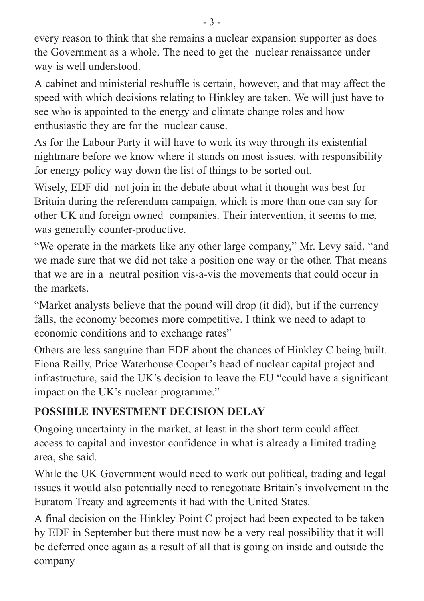every reason to think that she remains a nuclear expansion supporter as does the Government as a whole. The need to get the nuclear renaissance under way is well understood.

A cabinet and ministerial reshuffle is certain, however, and that may affect the speed with which decisions relating to Hinkley are taken. We will just have to see who is appointed to the energy and climate change roles and how enthusiastic they are for the nuclear cause.

As for the Labour Party it will have to work its way through its existential nightmare before we know where it stands on most issues, with responsibility for energy policy way down the list of things to be sorted out.

Wisely, EDF did not join in the debate about what it thought was best for Britain during the referendum campaign, which is more than one can say for other UK and foreign owned companies. Their intervention, it seems to me, was generally counter-productive.

"We operate in the markets like any other large company," Mr. Levy said. "and we made sure that we did not take a position one way or the other. That means that we are in a neutral position vis-a-vis the movements that could occur in the markets.

"Market analysts believe that the pound will drop (it did), but if the currency falls, the economy becomes more competitive. I think we need to adapt to economic conditions and to exchange rates"

Others are less sanguine than EDF about the chances of Hinkley C being built. Fiona Reilly, Price Waterhouse Cooper's head of nuclear capital project and infrastructure, said the UK's decision to leave the EU "could have a significant impact on the UK's nuclear programme."

#### **POSSIBLE INVESTMENT DECISION DELAY**

Ongoing uncertainty in the market, at least in the short term could affect access to capital and investor confidence in what is already a limited trading area, she said.

While the UK Government would need to work out political, trading and legal issues it would also potentially need to renegotiate Britain's involvement in the Euratom Treaty and agreements it had with the United States.

A final decision on the Hinkley Point C project had been expected to be taken by EDF in September but there must now be a very real possibility that it will be deferred once again as a result of all that is going on inside and outside the company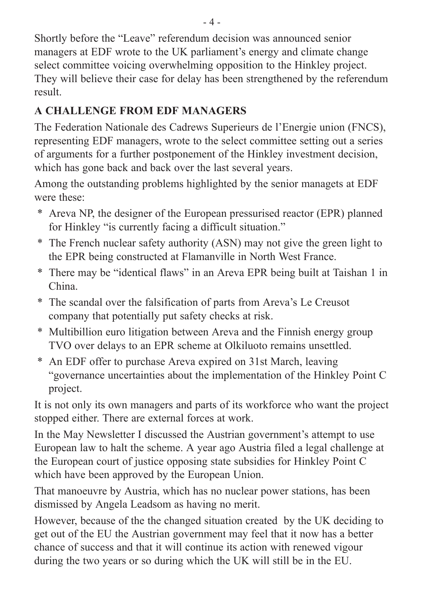Shortly before the "Leave" referendum decision was announced senior managers at EDF wrote to the UK parliament's energy and climate change select committee voicing overwhelming opposition to the Hinkley project. They will believe their case for delay has been strengthened by the referendum result.

### **A CHALLENGE FROM EDF MANAGERS**

The Federation Nationale des Cadrews Superieurs de l'Energie union (FNCS), representing EDF managers, wrote to the select committee setting out a series of arguments for a further postponement of the Hinkley investment decision, which has gone back and back over the last several years.

Among the outstanding problems highlighted by the senior managets at EDF were these:

- \* Areva NP, the designer of the European pressurised reactor (EPR) planned for Hinkley "is currently facing a difficult situation."
- \* The French nuclear safety authority (ASN) may not give the green light to the EPR being constructed at Flamanville in North West France.
- \* There may be "identical flaws" in an Areva EPR being built at Taishan 1 in China.
- \* The scandal over the falsification of parts from Areva's Le Creusot company that potentially put safety checks at risk.
- \* Multibillion euro litigation between Areva and the Finnish energy group TVO over delays to an EPR scheme at Olkiluoto remains unsettled.
- \* An EDF offer to purchase Areva expired on 31st March, leaving "governance uncertainties about the implementation of the Hinkley Point C project.

It is not only its own managers and parts of its workforce who want the project stopped either. There are external forces at work.

In the May Newsletter I discussed the Austrian government's attempt to use European law to halt the scheme. A year ago Austria filed a legal challenge at the European court of justice opposing state subsidies for Hinkley Point C which have been approved by the European Union.

That manoeuvre by Austria, which has no nuclear power stations, has been dismissed by Angela Leadsom as having no merit.

However, because of the the changed situation created by the UK deciding to get out of the EU the Austrian government may feel that it now has a better chance of success and that it will continue its action with renewed vigour during the two years or so during which the UK will still be in the EU.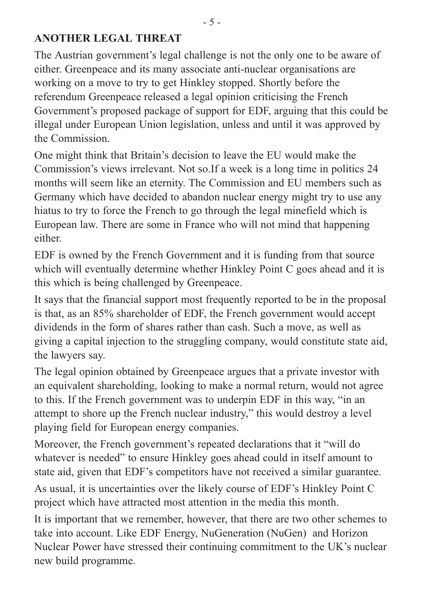#### **ANOTHER LEGAL THREAT**

The Austrian government's legal challenge is not the only one to be aware of either. Greenpeace and its many associate anti-nuclear organisations are working on a move to try to get Hinkley stopped. Shortly before the referendum Greenpeace released a legal opinion criticising the French Government's proposed package of support for EDF, arguing that this could be illegal under European Union legislation, unless and until it was approved by the Commission.

One might think that Britain's decision to leave the EU would make the Commission's views irrelevant. Not so.If a week is a long time in politics 24 months will seem like an eternity. The Commission and EU members such as Germany which have decided to abandon nuclear energy might try to use any hiatus to try to force the French to go through the legal minefield which is European law. There are some in France who will not mind that happening either.

EDF is owned by the French Government and it is funding from that source which will eventually determine whether Hinkley Point C goes ahead and it is this which is being challenged by Greenpeace.

It says that the financial support most frequently reported to be in the proposal is that, as an 85% shareholder of EDF, the French government would accept dividends in the form of shares rather than cash. Such a move, as well as giving a capital injection to the struggling company, would constitute state aid, the lawyers say.

The legal opinion obtained by Greenpeace argues that a private investor with an equivalent shareholding, looking to make a normal return, would not agree to this. If the French government was to underpin EDF in this way, "in an attempt to shore up the French nuclear industry," this would destroy a level playing field for European energy companies.

Moreover, the French government's repeated declarations that it "will do whatever is needed" to ensure Hinkley goes ahead could in itself amount to state aid, given that EDF's competitors have not received a similar guarantee.

As usual, it is uncertainties over the likely course of EDF's Hinkley Point C project which have attracted most attention in the media this month.

It is important that we remember, however, that there are two other schemes to take into account. Like EDF Energy, NuGeneration (NuGen) and Horizon Nuclear Power have stressed their continuing commitment to the UK's nuclear new build programme.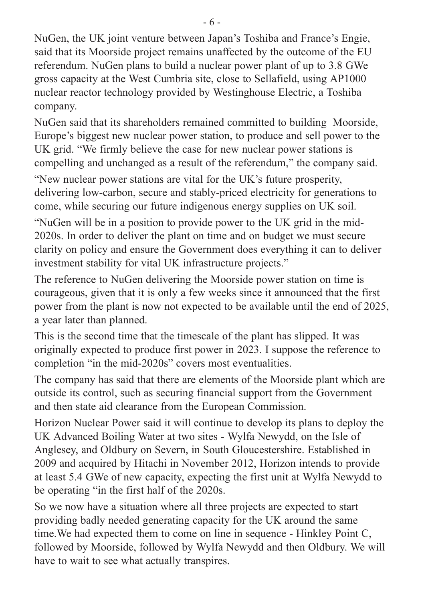NuGen, the UK joint venture between Japan's Toshiba and France's Engie, said that its Moorside project remains unaffected by the outcome of the EU referendum. NuGen plans to build a nuclear power plant of up to 3.8 GWe gross capacity at the West Cumbria site, close to Sellafield, using AP1000 nuclear reactor technology provided by Westinghouse Electric, a Toshiba company.

NuGen said that its shareholders remained committed to building Moorside, Europe's biggest new nuclear power station, to produce and sell power to the UK grid. "We firmly believe the case for new nuclear power stations is compelling and unchanged as a result of the referendum," the company said.

"New nuclear power stations are vital for the UK's future prosperity, delivering low-carbon, secure and stably-priced electricity for generations to come, while securing our future indigenous energy supplies on UK soil.

"NuGen will be in a position to provide power to the UK grid in the mid-2020s. In order to deliver the plant on time and on budget we must secure clarity on policy and ensure the Government does everything it can to deliver investment stability for vital UK infrastructure projects."

The reference to NuGen delivering the Moorside power station on time is courageous, given that it is only a few weeks since it announced that the first power from the plant is now not expected to be available until the end of 2025, a year later than planned.

This is the second time that the timescale of the plant has slipped. It was originally expected to produce first power in 2023. I suppose the reference to completion "in the mid-2020s" covers most eventualities.

The company has said that there are elements of the Moorside plant which are outside its control, such as securing financial support from the Government and then state aid clearance from the European Commission.

Horizon Nuclear Power said it will continue to develop its plans to deploy the UK Advanced Boiling Water at two sites - Wylfa Newydd, on the Isle of Anglesey, and Oldbury on Severn, in South Gloucestershire. Established in 2009 and acquired by Hitachi in November 2012, Horizon intends to provide at least 5.4 GWe of new capacity, expecting the first unit at Wylfa Newydd to be operating "in the first half of the 2020s.

So we now have a situation where all three projects are expected to start providing badly needed generating capacity for the UK around the same time.We had expected them to come on line in sequence - Hinkley Point C, followed by Moorside, followed by Wylfa Newydd and then Oldbury. We will have to wait to see what actually transpires.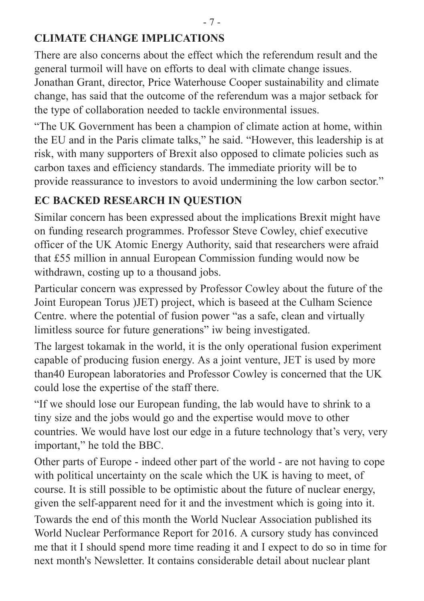#### **CLIMATE CHANGE IMPLICATIONS**

There are also concerns about the effect which the referendum result and the general turmoil will have on efforts to deal with climate change issues.

Jonathan Grant, director, Price Waterhouse Cooper sustainability and climate change, has said that the outcome of the referendum was a major setback for the type of collaboration needed to tackle environmental issues.

"The UK Government has been a champion of climate action at home, within the EU and in the Paris climate talks," he said. "However, this leadership is at risk, with many supporters of Brexit also opposed to climate policies such as carbon taxes and efficiency standards. The immediate priority will be to provide reassurance to investors to avoid undermining the low carbon sector."

#### **EC BACKED RESEARCH IN QUESTION**

Similar concern has been expressed about the implications Brexit might have on funding research programmes. Professor Steve Cowley, chief executive officer of the UK Atomic Energy Authority, said that researchers were afraid that £55 million in annual European Commission funding would now be withdrawn, costing up to a thousand jobs.

Particular concern was expressed by Professor Cowley about the future of the Joint European Torus )JET) project, which is baseed at the Culham Science Centre. where the potential of fusion power "as a safe, clean and virtually limitless source for future generations" iw being investigated.

The largest tokamak in the world, it is the only operational fusion experiment capable of producing fusion energy. As a joint venture, JET is used by more than40 European laboratories and Professor Cowley is concerned that the UK could lose the expertise of the staff there.

"If we should lose our European funding, the lab would have to shrink to a tiny size and the jobs would go and the expertise would move to other countries. We would have lost our edge in a future technology that's very, very important," he told the BBC.

Other parts of Europe - indeed other part of the world - are not having to cope with political uncertainty on the scale which the UK is having to meet, of course. It is still possible to be optimistic about the future of nuclear energy, given the self-apparent need for it and the investment which is going into it.

Towards the end of this month the World Nuclear Association published its World Nuclear Performance Report for 2016. A cursory study has convinced me that it I should spend more time reading it and I expect to do so in time for next month's Newsletter. It contains considerable detail about nuclear plant